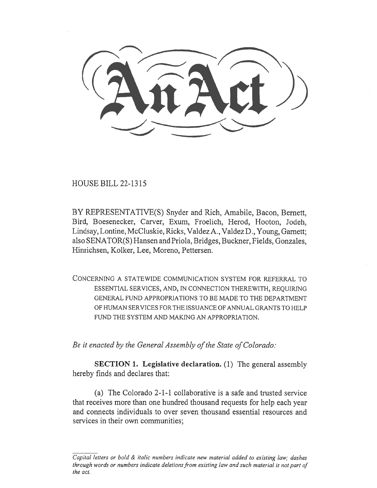HOUSE BILL 22-1315

BY REPRESENTATIVE(S) Snyder and Rich, Amabile, Bacon, Bernett, Bird, Boesenecker, Carver, Exum, Froelich, Herod, Hooton, Jodeh, Lindsay, Lontine, McCluskie, Ricks, Valdez A., Valdez D., Young, Garnett; also SENATOR(S) Hansen and Priola, Bridges, Buckner, Fields, Gonzales, Hinrichsen, Kolker, Lee, Moreno, Pettersen.

CONCERNING A STATEWIDE COMMUNICATION SYSTEM FOR REFERRAL TO ESSENTIAL SERVICES, AND, IN CONNECTION THEREWITH, REQUIRING GENERAL FUND APPROPRIATIONS TO BE MADE TO THE DEPARTMENT OF HUMAN SERVICES FOR THE ISSUANCE OF ANNUAL GRANTS TO HELP FUND THE SYSTEM AND MAKING AN APPROPRIATION.

Be it enacted by the General Assembly of the State of Colorado:

SECTION 1. Legislative declaration. (1) The general assembly hereby finds and declares that:

(a) The Colorado 2-1-1 collaborative is a safe and trusted service that receives more than one hundred thousand requests for help each year and connects individuals to over seven thousand essential resources and services in their own communities;

Capital letters or bold & italic numbers indicate new material added to existing law; dashes through words or numbers indicate deletions from existing law and such material is not part of the act.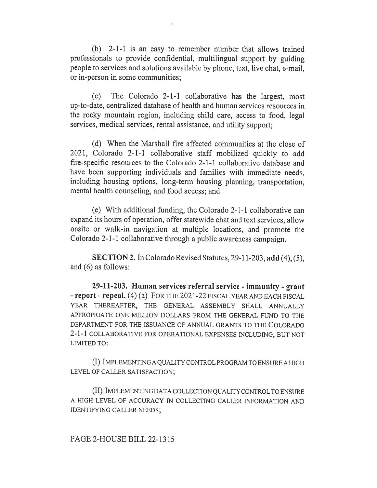(b) 2-1-1 is an easy to remember number that allows trained professionals to provide confidential, multilingual support by guiding people to services and solutions available by phone, text, live chat, e-mail, or in-person in some communities;

(c) The Colorado 2-1-1 collaborative has the largest, most up-to-date, centralized database of health and human services resources in the rocky mountain region, including child care, access to food, legal services, medical services, rental assistance, and utility support;

(d) When the Marshall fire affected communities at the close of 2021, Colorado 2-1-1 collaborative staff mobilized quickly to add fire-specific resources to the Colorado 2-1-1 collaborative database and have been supporting individuals and families with immediate needs, including housing options, long-term housing planning, transportation, mental health counseling, and food access; and

(e) With additional funding, the Colorado 2-1-1 collaborative can expand its hours of operation, offer statewide chat and text services, allow onsite or walk-in navigation at multiple locations, and promote the Colorado 2-1-1 collaborative through a public awareness campaign.

SECTION 2. In Colorado Revised Statutes, 29-11-203, add (4), (5), and (6) as follows:

29-11-203. Human services referral service - immunity - grant - report - repeal. (4) (a) FOR THE 2021-22 FISCAL YEAR AND EACH FISCAL YEAR THEREAFTER, THE GENERAL ASSEMBLY SHALL ANNUALLY APPROPRIATE ONE MILLION DOLLARS FROM THE GENERAL FUND TO THE DEPARTMENT FOR THE ISSUANCE OF ANNUAL GRANTS TO THE COLORADO 2-1-1 COLLABORATIVE FOR OPERATIONAL EXPENSES INCLUDING, BUT NOT LIMITED TO:

(I) IMPLEMENTING A QUALITY CONTROL PROGRAM TO ENSURE A HIGH LEVEL OF CALLER SATISFACTION;

(II) IMPLEMENTING DATA COLLECTION QUALITY CONTROL TO ENSURE A HIGH LEVEL OF ACCURACY IN COLLECTING CALLER INFORMATION AND IDENTIFYING CALLER NEEDS;

## PAGE 2-HOUSE BILL 22-1315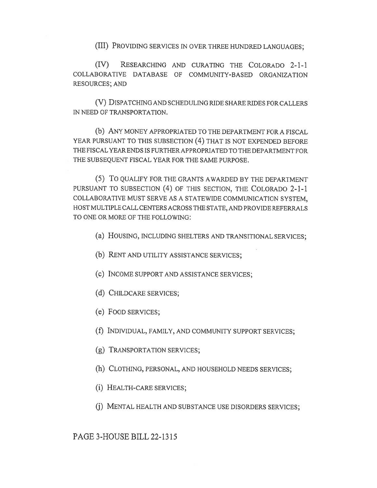(III) PROVIDING SERVICES IN OVER THREE HUNDRED LANGUAGES;

(IV) RESEARCHING AND CURATING THE COLORADO 2-1-1 COLLABORATIVE DATABASE OF COMMUNITY-BASED ORGANIZATION RESOURCES; AND

(V) DISPATCHING AND SCHEDULING RIDE SHARE RIDES FOR CALLERS IN NEED OF TRANSPORTATION.

(b) ANY MONEY APPROPRIATED TO THE DEPARTMENT FOR A FISCAL YEAR PURSUANT TO THIS SUBSECTION (4) THAT IS NOT EXPENDED BEFORE THE FISCAL YEAR ENDS IS FURTHER APPROPRIATED TO THE DEPARTMENT FOR THE SUBSEQUENT FISCAL YEAR FOR THE SAME PURPOSE.

(5) To QUALIFY FOR THE GRANTS AWARDED BY THE DEPARTMENT PURSUANT TO SUBSECTION (4) OF THIS SECTION, THE COLORADO 2-1-1 COLLABORATIVE MUST SERVE AS A STATEWIDE COMMUNICATION SYSTEM, HOST MULTIPLE CALL CENTERS ACROSS THE STATE, AND PROVIDE REFERRALS TO ONE OR MORE OF THE FOLLOWING:

(a) HOUSING, INCLUDING SHELTERS AND TRANSITIONAL SERVICES;

- (b) RENT AND UTILITY ASSISTANCE SERVICES;
- (c) INCOME SUPPORT AND ASSISTANCE SERVICES;
- (d) CHILDCARE SERVICES;
- (e) FOOD SERVICES;
- (f) INDIVIDUAL, FAMILY, AND COMMUNITY SUPPORT SERVICES;
- (g) TRANSPORTATION SERVICES;
- (h) CLOTHING, PERSONAL, AND HOUSEHOLD NEEDS SERVICES;
- (i) HEALTH-CARE SERVICES;
- (j) MENTAL HEALTH AND SUBSTANCE USE DISORDERS SERVICES;

PAGE 3-HOUSE BILL 22-1315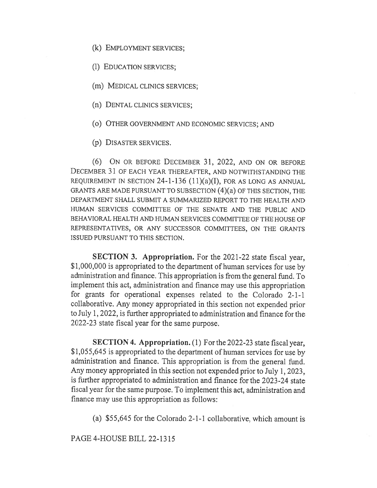(k) EMPLOYMENT SERVICES;

(1) EDUCATION SERVICES;

(m) MEDICAL CLINICS SERVICES;

(n) DENTAL CLINICS SERVICES;

(o) OTHER GOVERNMENT AND ECONOMIC SERVICES; AND

(p) DISASTER SERVICES.

(6) ON OR BEFORE DECEMBER 31, 2022, AND ON OR BEFORE DECEMBER 31 OF EACH YEAR THEREAFTER, AND NOTWITHSTANDING THE REQUIREMENT IN SECTION 24-1-136 (11)(a)(I), FOR AS LONG AS ANNUAL GRANTS ARE MADE PURSUANT TO SUBSECTION (4)(a) OF THIS SECTION, THE DEPARTMENT SHALL SUBMIT A SUMMARIZED REPORT TO THE HEALTH AND HUMAN SERVICES COMMITTEE OF THE SENATE AND THE PUBLIC AND BEHAVIORAL HEALTH AND HUMAN SERVICES COMMITTEE OF THE HOUSE OF REPRESENTATIVES, OR ANY SUCCESSOR COMMITTEES, ON THE GRANTS ISSUED PURSUANT TO THIS SECTION.

SECTION 3. Appropriation. For the 2021-22 state fiscal year, \$1,000,000 is appropriated to the department of human services for use by administration and finance. This appropriation is from the general fund. To implement this act, administration and finance may use this appropriation for grants for operational expenses related to the Colorado 2-1-1 collaborative. Any money appropriated in this section not expended prior to July 1, 2022, is further appropriated to administration and finance for the 2022-23 state fiscal year for the same purpose.

SECTION 4. Appropriation. (1) For the 2022-23 state fiscal year, \$1,055,645 is appropriated to the department of human services for use by administration and finance. This appropriation is from the general fund. Any money appropriated in this section not expended prior to July 1, 2023, is further appropriated to administration and finance for the 2023-24 state fiscal year for the same purpose. To implement this act, administration and finance may use this appropriation as follows:

(a) \$55,645 for the Colorado 2-1-1 collaborative, which amount is

PAGE 4-HOUSE BILL 22-1315